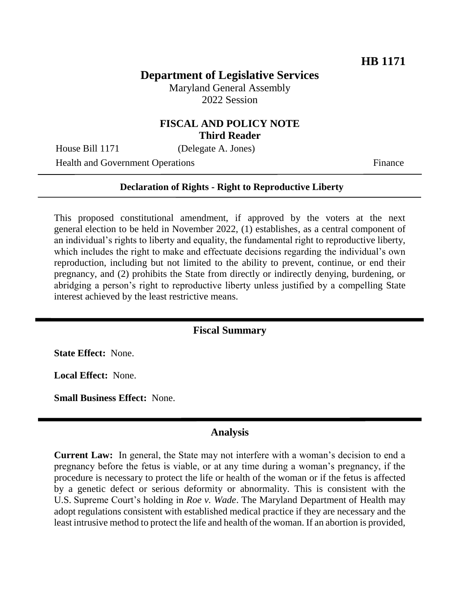# **Department of Legislative Services**

Maryland General Assembly 2022 Session

### **FISCAL AND POLICY NOTE Third Reader**

House Bill 1171 (Delegate A. Jones)

Health and Government Operations Finance

### **Declaration of Rights - Right to Reproductive Liberty**

This proposed constitutional amendment, if approved by the voters at the next general election to be held in November 2022, (1) establishes, as a central component of an individual's rights to liberty and equality, the fundamental right to reproductive liberty, which includes the right to make and effectuate decisions regarding the individual's own reproduction, including but not limited to the ability to prevent, continue, or end their pregnancy, and (2) prohibits the State from directly or indirectly denying, burdening, or abridging a person's right to reproductive liberty unless justified by a compelling State interest achieved by the least restrictive means.

#### **Fiscal Summary**

**State Effect:** None.

**Local Effect:** None.

**Small Business Effect:** None.

#### **Analysis**

**Current Law:** In general, the State may not interfere with a woman's decision to end a pregnancy before the fetus is viable, or at any time during a woman's pregnancy, if the procedure is necessary to protect the life or health of the woman or if the fetus is affected by a genetic defect or serious deformity or abnormality. This is consistent with the U.S. Supreme Court's holding in *Roe v. Wade*. The Maryland Department of Health may adopt regulations consistent with established medical practice if they are necessary and the least intrusive method to protect the life and health of the woman. If an abortion is provided,